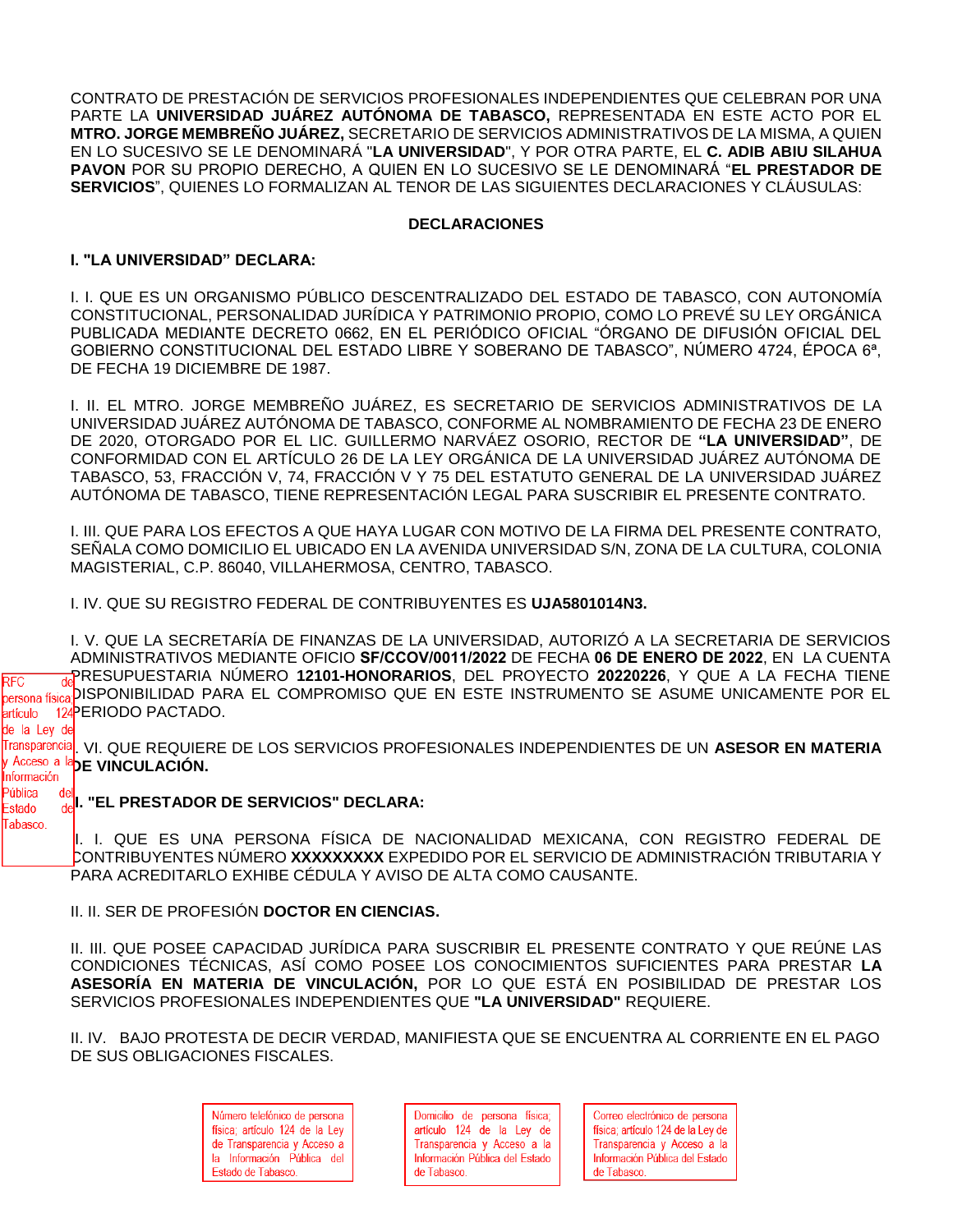CONTRATO DE PRESTACIÓN DE SERVICIOS PROFESIONALES INDEPENDIENTES QUE CELEBRAN POR UNA PARTE LA **UNIVERSIDAD JUÁREZ AUTÓNOMA DE TABASCO,** REPRESENTADA EN ESTE ACTO POR EL **MTRO. JORGE MEMBREÑO JUÁREZ,** SECRETARIO DE SERVICIOS ADMINISTRATIVOS DE LA MISMA, A QUIEN EN LO SUCESIVO SE LE DENOMINARÁ "**LA UNIVERSIDAD**", Y POR OTRA PARTE, EL **C. ADIB ABIU SILAHUA PAVON** POR SU PROPIO DERECHO, A QUIEN EN LO SUCESIVO SE LE DENOMINARÁ "**EL PRESTADOR DE SERVICIOS**", QUIENES LO FORMALIZAN AL TENOR DE LAS SIGUIENTES DECLARACIONES Y CLÁUSULAS:

#### **DECLARACIONES**

### **I. "LA UNIVERSIDAD" DECLARA:**

I. I. QUE ES UN ORGANISMO PÚBLICO DESCENTRALIZADO DEL ESTADO DE TABASCO, CON AUTONOMÍA CONSTITUCIONAL, PERSONALIDAD JURÍDICA Y PATRIMONIO PROPIO, COMO LO PREVÉ SU LEY ORGÁNICA PUBLICADA MEDIANTE DECRETO 0662, EN EL PERIÓDICO OFICIAL "ÓRGANO DE DIFUSIÓN OFICIAL DEL GOBIERNO CONSTITUCIONAL DEL ESTADO LIBRE Y SOBERANO DE TABASCO", NÚMERO 4724, ÉPOCA 6ª, DE FECHA 19 DICIEMBRE DE 1987.

I. II. EL MTRO. JORGE MEMBREÑO JUÁREZ, ES SECRETARIO DE SERVICIOS ADMINISTRATIVOS DE LA UNIVERSIDAD JUÁREZ AUTÓNOMA DE TABASCO, CONFORME AL NOMBRAMIENTO DE FECHA 23 DE ENERO DE 2020, OTORGADO POR EL LIC. GUILLERMO NARVÁEZ OSORIO, RECTOR DE **"LA UNIVERSIDAD"**, DE CONFORMIDAD CON EL ARTÍCULO 26 DE LA LEY ORGÁNICA DE LA UNIVERSIDAD JUÁREZ AUTÓNOMA DE TABASCO, 53, FRACCIÓN V, 74, FRACCIÓN V Y 75 DEL ESTATUTO GENERAL DE LA UNIVERSIDAD JUÁREZ AUTÓNOMA DE TABASCO, TIENE REPRESENTACIÓN LEGAL PARA SUSCRIBIR EL PRESENTE CONTRATO.

I. III. QUE PARA LOS EFECTOS A QUE HAYA LUGAR CON MOTIVO DE LA FIRMA DEL PRESENTE CONTRATO, SEÑALA COMO DOMICILIO EL UBICADO EN LA AVENIDA UNIVERSIDAD S/N, ZONA DE LA CULTURA, COLONIA MAGISTERIAL, C.P. 86040, VILLAHERMOSA, CENTRO, TABASCO.

I. IV. QUE SU REGISTRO FEDERAL DE CONTRIBUYENTES ES **UJA5801014N3.**

I. V. QUE LA SECRETARÍA DE FINANZAS DE LA UNIVERSIDAD, AUTORIZÓ A LA SECRETARIA DE SERVICIOS ADMINISTRATIVOS MEDIANTE OFICIO **SF/CCOV/0011/2022** DE FECHA **06 DE ENERO DE 2022**, EN LA CUENTA PRESUPUESTARIA NÚMERO **12101-HONORARIOS**, DEL PROYECTO **20220226**, Y QUE A LA FECHA TIENE DETSONA FÍSICA PISPONIBILIDAD PARA EL COMPROMISO QUE EN ESTE INSTRUMENTO SE ASUME UNICAMENTE POR EL 124 ERIODO PACTADO.

Transparencia<mark>l</mark>. VI. QUE REQUIERE DE LOS SERVICIOS PROFESIONALES INDEPENDIENTES DE UN **ASESOR EN MATERIA** <sup>y Acceso a la</sup>DE VINCULACIÓN. Información

de **IIEL PRESTADOR DE SERVICIOS" DECLARA:** 

**RFC** 

artículo de la Ley d

Pública

Estado Tabasco

II. I. QUE ES UNA PERSONA FÍSICA DE NACIONALIDAD MEXICANA, CON REGISTRO FEDERAL DE CONTRIBUYENTES NÚMERO **XXXXXXXXX** EXPEDIDO POR EL SERVICIO DE ADMINISTRACIÓN TRIBUTARIA Y PARA ACREDITARLO EXHIBE CÉDULA Y AVISO DE ALTA COMO CAUSANTE.

### II. II. SER DE PROFESIÓN **DOCTOR EN CIENCIAS.**

II. III. QUE POSEE CAPACIDAD JURÍDICA PARA SUSCRIBIR EL PRESENTE CONTRATO Y QUE REÚNE LAS CONDICIONES TÉCNICAS, ASÍ COMO POSEE LOS CONOCIMIENTOS SUFICIENTES PARA PRESTAR **LA ASESORÍA EN MATERIA DE VINCULACIÓN,** POR LO QUE ESTÁ EN POSIBILIDAD DE PRESTAR LOS SERVICIOS PROFESIONALES INDEPENDIENTES QUE **"LA UNIVERSIDAD"** REQUIERE.

II. IV. BAJO PROTESTA DE DECIR VERDAD, MANIFIESTA QUE SE ENCUENTRA AL CORRIENTE EN EL PAGO DE SUS OBLIGACIONES FISCALES.

> Número telefónico de persona física; artículo 124 de la Ley de Transparencia y Acceso a la Información Pública del Estado de Tabasco.

Domicilio de persona física; artículo 124 de la Ley de Transparencia y Acceso a la Información Pública del Estado de Tabasco.

Correo electrónico de persona física; artículo 124 de la Ley de Transparencia y Acceso a la Información Pública del Estado de Tabasco.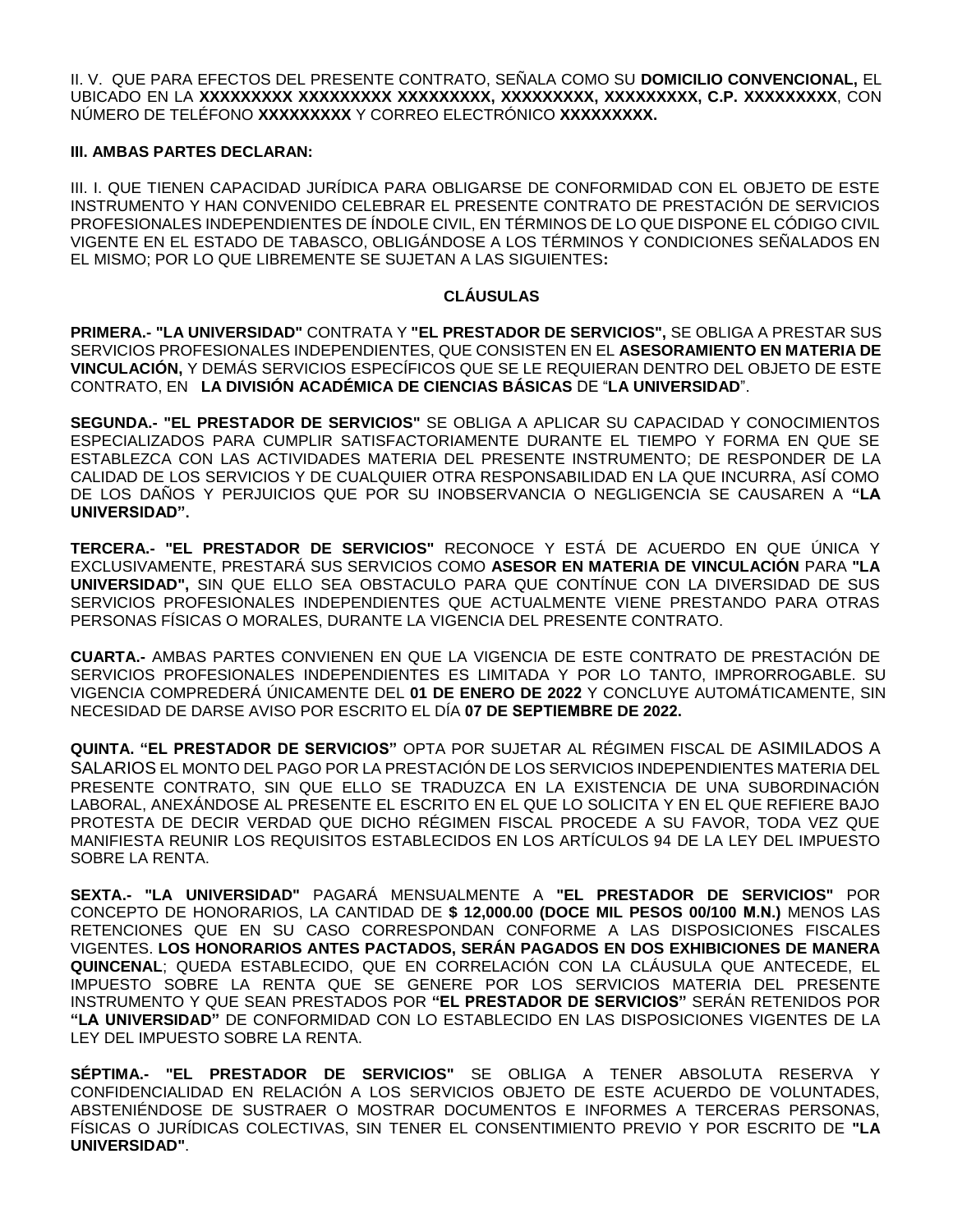II. V. QUE PARA EFECTOS DEL PRESENTE CONTRATO, SEÑALA COMO SU **DOMICILIO CONVENCIONAL,** EL UBICADO EN LA **XXXXXXXXX XXXXXXXXX XXXXXXXXX, XXXXXXXXX, XXXXXXXXX, C.P. XXXXXXXXX**, CON NÚMERO DE TELÉFONO **XXXXXXXXX** Y CORREO ELECTRÓNICO **XXXXXXXXX.**

# **III. AMBAS PARTES DECLARAN:**

III. I. QUE TIENEN CAPACIDAD JURÍDICA PARA OBLIGARSE DE CONFORMIDAD CON EL OBJETO DE ESTE INSTRUMENTO Y HAN CONVENIDO CELEBRAR EL PRESENTE CONTRATO DE PRESTACIÓN DE SERVICIOS PROFESIONALES INDEPENDIENTES DE ÍNDOLE CIVIL, EN TÉRMINOS DE LO QUE DISPONE EL CÓDIGO CIVIL VIGENTE EN EL ESTADO DE TABASCO, OBLIGÁNDOSE A LOS TÉRMINOS Y CONDICIONES SEÑALADOS EN EL MISMO; POR LO QUE LIBREMENTE SE SUJETAN A LAS SIGUIENTES**:**

# **CLÁUSULAS**

**PRIMERA.- "LA UNIVERSIDAD"** CONTRATA Y **"EL PRESTADOR DE SERVICIOS",** SE OBLIGA A PRESTAR SUS SERVICIOS PROFESIONALES INDEPENDIENTES, QUE CONSISTEN EN EL **ASESORAMIENTO EN MATERIA DE VINCULACIÓN,** Y DEMÁS SERVICIOS ESPECÍFICOS QUE SE LE REQUIERAN DENTRO DEL OBJETO DE ESTE CONTRATO, EN **LA DIVISIÓN ACADÉMICA DE CIENCIAS BÁSICAS** DE "**LA UNIVERSIDAD**".

**SEGUNDA.- "EL PRESTADOR DE SERVICIOS"** SE OBLIGA A APLICAR SU CAPACIDAD Y CONOCIMIENTOS ESPECIALIZADOS PARA CUMPLIR SATISFACTORIAMENTE DURANTE EL TIEMPO Y FORMA EN QUE SE ESTABLEZCA CON LAS ACTIVIDADES MATERIA DEL PRESENTE INSTRUMENTO; DE RESPONDER DE LA CALIDAD DE LOS SERVICIOS Y DE CUALQUIER OTRA RESPONSABILIDAD EN LA QUE INCURRA, ASÍ COMO DE LOS DAÑOS Y PERJUICIOS QUE POR SU INOBSERVANCIA O NEGLIGENCIA SE CAUSAREN A **"LA UNIVERSIDAD".**

**TERCERA.- "EL PRESTADOR DE SERVICIOS"** RECONOCE Y ESTÁ DE ACUERDO EN QUE ÚNICA Y EXCLUSIVAMENTE, PRESTARÁ SUS SERVICIOS COMO **ASESOR EN MATERIA DE VINCULACIÓN** PARA **"LA UNIVERSIDAD",** SIN QUE ELLO SEA OBSTACULO PARA QUE CONTÍNUE CON LA DIVERSIDAD DE SUS SERVICIOS PROFESIONALES INDEPENDIENTES QUE ACTUALMENTE VIENE PRESTANDO PARA OTRAS PERSONAS FÍSICAS O MORALES, DURANTE LA VIGENCIA DEL PRESENTE CONTRATO.

**CUARTA.-** AMBAS PARTES CONVIENEN EN QUE LA VIGENCIA DE ESTE CONTRATO DE PRESTACIÓN DE SERVICIOS PROFESIONALES INDEPENDIENTES ES LIMITADA Y POR LO TANTO, IMPRORROGABLE. SU VIGENCIA COMPREDERÁ ÚNICAMENTE DEL **01 DE ENERO DE 2022** Y CONCLUYE AUTOMÁTICAMENTE, SIN NECESIDAD DE DARSE AVISO POR ESCRITO EL DÍA **07 DE SEPTIEMBRE DE 2022.**

**QUINTA. "EL PRESTADOR DE SERVICIOS"** OPTA POR SUJETAR AL RÉGIMEN FISCAL DE ASIMILADOS A SALARIOS EL MONTO DEL PAGO POR LA PRESTACIÓN DE LOS SERVICIOS INDEPENDIENTES MATERIA DEL PRESENTE CONTRATO, SIN QUE ELLO SE TRADUZCA EN LA EXISTENCIA DE UNA SUBORDINACIÓN LABORAL, ANEXÁNDOSE AL PRESENTE EL ESCRITO EN EL QUE LO SOLICITA Y EN EL QUE REFIERE BAJO PROTESTA DE DECIR VERDAD QUE DICHO RÉGIMEN FISCAL PROCEDE A SU FAVOR, TODA VEZ QUE MANIFIESTA REUNIR LOS REQUISITOS ESTABLECIDOS EN LOS ARTÍCULOS 94 DE LA LEY DEL IMPUESTO SOBRE LA RENTA.

**SEXTA.- "LA UNIVERSIDAD"** PAGARÁ MENSUALMENTE A **"EL PRESTADOR DE SERVICIOS"** POR CONCEPTO DE HONORARIOS, LA CANTIDAD DE **\$ 12,000.00 (DOCE MIL PESOS 00/100 M.N.)** MENOS LAS RETENCIONES QUE EN SU CASO CORRESPONDAN CONFORME A LAS DISPOSICIONES FISCALES VIGENTES. **LOS HONORARIOS ANTES PACTADOS, SERÁN PAGADOS EN DOS EXHIBICIONES DE MANERA QUINCENAL**; QUEDA ESTABLECIDO, QUE EN CORRELACIÓN CON LA CLÁUSULA QUE ANTECEDE, EL IMPUESTO SOBRE LA RENTA QUE SE GENERE POR LOS SERVICIOS MATERIA DEL PRESENTE INSTRUMENTO Y QUE SEAN PRESTADOS POR **"EL PRESTADOR DE SERVICIOS"** SERÁN RETENIDOS POR **"LA UNIVERSIDAD"** DE CONFORMIDAD CON LO ESTABLECIDO EN LAS DISPOSICIONES VIGENTES DE LA LEY DEL IMPUESTO SOBRE LA RENTA.

**SÉPTIMA.- "EL PRESTADOR DE SERVICIOS"** SE OBLIGA A TENER ABSOLUTA RESERVA Y CONFIDENCIALIDAD EN RELACIÓN A LOS SERVICIOS OBJETO DE ESTE ACUERDO DE VOLUNTADES, ABSTENIÉNDOSE DE SUSTRAER O MOSTRAR DOCUMENTOS E INFORMES A TERCERAS PERSONAS, FÍSICAS O JURÍDICAS COLECTIVAS, SIN TENER EL CONSENTIMIENTO PREVIO Y POR ESCRITO DE **"LA UNIVERSIDAD"**.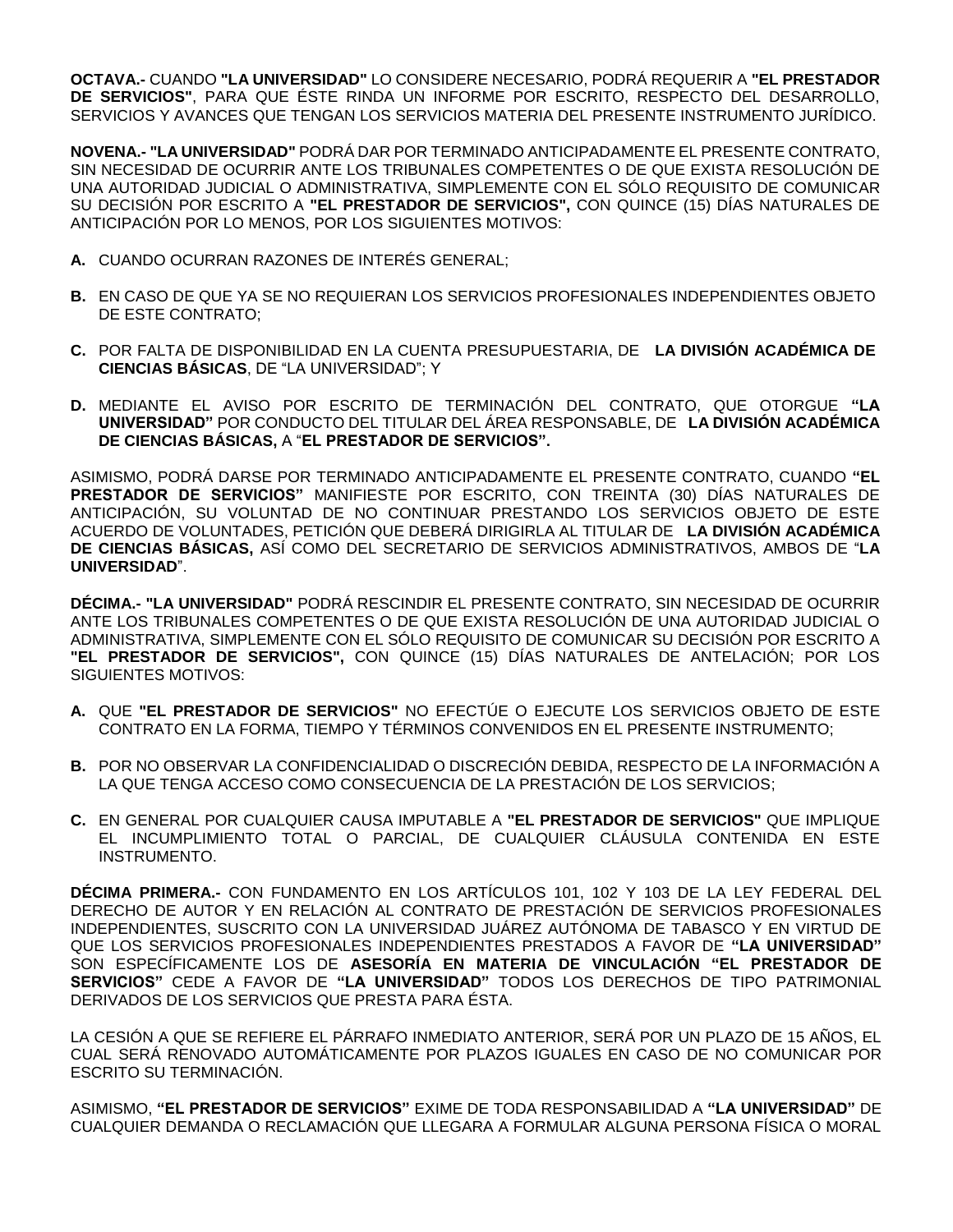**OCTAVA.-** CUANDO **"LA UNIVERSIDAD"** LO CONSIDERE NECESARIO, PODRÁ REQUERIR A **"EL PRESTADOR DE SERVICIOS"**, PARA QUE ÉSTE RINDA UN INFORME POR ESCRITO, RESPECTO DEL DESARROLLO, SERVICIOS Y AVANCES QUE TENGAN LOS SERVICIOS MATERIA DEL PRESENTE INSTRUMENTO JURÍDICO.

**NOVENA.- "LA UNIVERSIDAD"** PODRÁ DAR POR TERMINADO ANTICIPADAMENTE EL PRESENTE CONTRATO, SIN NECESIDAD DE OCURRIR ANTE LOS TRIBUNALES COMPETENTES O DE QUE EXISTA RESOLUCIÓN DE UNA AUTORIDAD JUDICIAL O ADMINISTRATIVA, SIMPLEMENTE CON EL SÓLO REQUISITO DE COMUNICAR SU DECISIÓN POR ESCRITO A **"EL PRESTADOR DE SERVICIOS",** CON QUINCE (15) DÍAS NATURALES DE ANTICIPACIÓN POR LO MENOS, POR LOS SIGUIENTES MOTIVOS:

- **A.** CUANDO OCURRAN RAZONES DE INTERÉS GENERAL;
- **B.** EN CASO DE QUE YA SE NO REQUIERAN LOS SERVICIOS PROFESIONALES INDEPENDIENTES OBJETO DE ESTE CONTRATO;
- **C.** POR FALTA DE DISPONIBILIDAD EN LA CUENTA PRESUPUESTARIA, DE **LA DIVISIÓN ACADÉMICA DE CIENCIAS BÁSICAS**, DE "LA UNIVERSIDAD"; Y
- **D.** MEDIANTE EL AVISO POR ESCRITO DE TERMINACIÓN DEL CONTRATO, QUE OTORGUE **"LA UNIVERSIDAD"** POR CONDUCTO DEL TITULAR DEL ÁREA RESPONSABLE, DE **LA DIVISIÓN ACADÉMICA DE CIENCIAS BÁSICAS,** A "**EL PRESTADOR DE SERVICIOS".**

ASIMISMO, PODRÁ DARSE POR TERMINADO ANTICIPADAMENTE EL PRESENTE CONTRATO, CUANDO **"EL PRESTADOR DE SERVICIOS"** MANIFIESTE POR ESCRITO, CON TREINTA (30) DÍAS NATURALES DE ANTICIPACIÓN, SU VOLUNTAD DE NO CONTINUAR PRESTANDO LOS SERVICIOS OBJETO DE ESTE ACUERDO DE VOLUNTADES, PETICIÓN QUE DEBERÁ DIRIGIRLA AL TITULAR DE **LA DIVISIÓN ACADÉMICA DE CIENCIAS BÁSICAS,** ASÍ COMO DEL SECRETARIO DE SERVICIOS ADMINISTRATIVOS, AMBOS DE "**LA UNIVERSIDAD**".

**DÉCIMA.- "LA UNIVERSIDAD"** PODRÁ RESCINDIR EL PRESENTE CONTRATO, SIN NECESIDAD DE OCURRIR ANTE LOS TRIBUNALES COMPETENTES O DE QUE EXISTA RESOLUCIÓN DE UNA AUTORIDAD JUDICIAL O ADMINISTRATIVA, SIMPLEMENTE CON EL SÓLO REQUISITO DE COMUNICAR SU DECISIÓN POR ESCRITO A **"EL PRESTADOR DE SERVICIOS",** CON QUINCE (15) DÍAS NATURALES DE ANTELACIÓN; POR LOS SIGUIENTES MOTIVOS:

- **A.** QUE **"EL PRESTADOR DE SERVICIOS"** NO EFECTÚE O EJECUTE LOS SERVICIOS OBJETO DE ESTE CONTRATO EN LA FORMA, TIEMPO Y TÉRMINOS CONVENIDOS EN EL PRESENTE INSTRUMENTO;
- **B.** POR NO OBSERVAR LA CONFIDENCIALIDAD O DISCRECIÓN DEBIDA, RESPECTO DE LA INFORMACIÓN A LA QUE TENGA ACCESO COMO CONSECUENCIA DE LA PRESTACIÓN DE LOS SERVICIOS;
- **C.** EN GENERAL POR CUALQUIER CAUSA IMPUTABLE A **"EL PRESTADOR DE SERVICIOS"** QUE IMPLIQUE EL INCUMPLIMIENTO TOTAL O PARCIAL, DE CUALQUIER CLÁUSULA CONTENIDA EN ESTE INSTRUMENTO.

**DÉCIMA PRIMERA.-** CON FUNDAMENTO EN LOS ARTÍCULOS 101, 102 Y 103 DE LA LEY FEDERAL DEL DERECHO DE AUTOR Y EN RELACIÓN AL CONTRATO DE PRESTACIÓN DE SERVICIOS PROFESIONALES INDEPENDIENTES, SUSCRITO CON LA UNIVERSIDAD JUÁREZ AUTÓNOMA DE TABASCO Y EN VIRTUD DE QUE LOS SERVICIOS PROFESIONALES INDEPENDIENTES PRESTADOS A FAVOR DE **"LA UNIVERSIDAD"** SON ESPECÍFICAMENTE LOS DE **ASESORÍA EN MATERIA DE VINCULACIÓN "EL PRESTADOR DE SERVICIOS"** CEDE A FAVOR DE **"LA UNIVERSIDAD"** TODOS LOS DERECHOS DE TIPO PATRIMONIAL DERIVADOS DE LOS SERVICIOS QUE PRESTA PARA ÉSTA.

LA CESIÓN A QUE SE REFIERE EL PÁRRAFO INMEDIATO ANTERIOR, SERÁ POR UN PLAZO DE 15 AÑOS, EL CUAL SERÁ RENOVADO AUTOMÁTICAMENTE POR PLAZOS IGUALES EN CASO DE NO COMUNICAR POR ESCRITO SU TERMINACIÓN.

ASIMISMO, **"EL PRESTADOR DE SERVICIOS"** EXIME DE TODA RESPONSABILIDAD A **"LA UNIVERSIDAD"** DE CUALQUIER DEMANDA O RECLAMACIÓN QUE LLEGARA A FORMULAR ALGUNA PERSONA FÍSICA O MORAL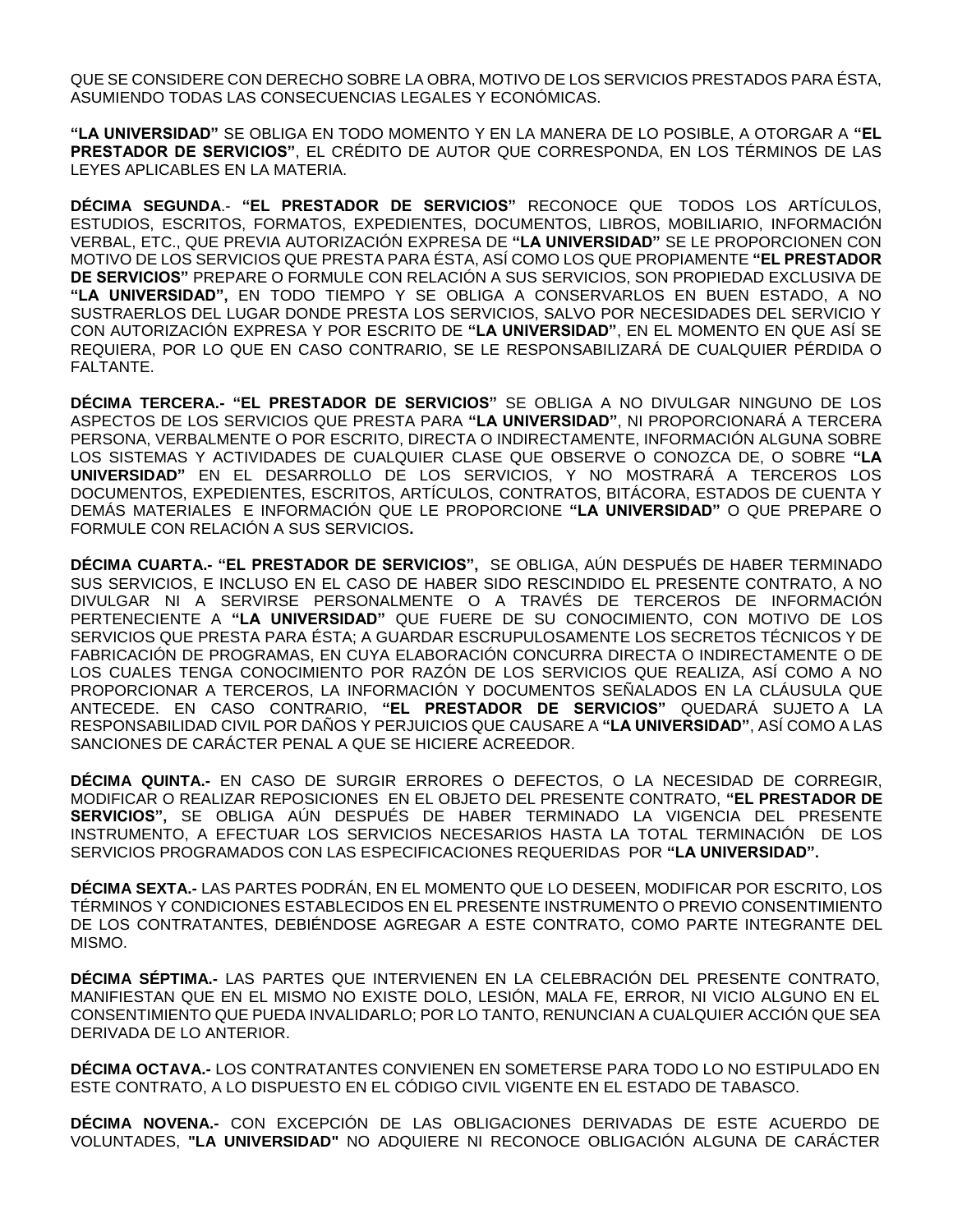QUE SE CONSIDERE CON DERECHO SOBRE LA OBRA, MOTIVO DE LOS SERVICIOS PRESTADOS PARA ÉSTA, ASUMIENDO TODAS LAS CONSECUENCIAS LEGALES Y ECONÓMICAS.

**"LA UNIVERSIDAD"** SE OBLIGA EN TODO MOMENTO Y EN LA MANERA DE LO POSIBLE, A OTORGAR A **"EL PRESTADOR DE SERVICIOS"**, EL CRÉDITO DE AUTOR QUE CORRESPONDA, EN LOS TÉRMINOS DE LAS LEYES APLICABLES EN LA MATERIA.

**DÉCIMA SEGUNDA**.- **"EL PRESTADOR DE SERVICIOS"** RECONOCE QUE TODOS LOS ARTÍCULOS, ESTUDIOS, ESCRITOS, FORMATOS, EXPEDIENTES, DOCUMENTOS, LIBROS, MOBILIARIO, INFORMACIÓN VERBAL, ETC., QUE PREVIA AUTORIZACIÓN EXPRESA DE **"LA UNIVERSIDAD"** SE LE PROPORCIONEN CON MOTIVO DE LOS SERVICIOS QUE PRESTA PARA ÉSTA, ASÍ COMO LOS QUE PROPIAMENTE **"EL PRESTADOR DE SERVICIOS"** PREPARE O FORMULE CON RELACIÓN A SUS SERVICIOS, SON PROPIEDAD EXCLUSIVA DE **"LA UNIVERSIDAD",** EN TODO TIEMPO Y SE OBLIGA A CONSERVARLOS EN BUEN ESTADO, A NO SUSTRAERLOS DEL LUGAR DONDE PRESTA LOS SERVICIOS, SALVO POR NECESIDADES DEL SERVICIO Y CON AUTORIZACIÓN EXPRESA Y POR ESCRITO DE **"LA UNIVERSIDAD"**, EN EL MOMENTO EN QUE ASÍ SE REQUIERA, POR LO QUE EN CASO CONTRARIO, SE LE RESPONSABILIZARÁ DE CUALQUIER PÉRDIDA O FALTANTE.

**DÉCIMA TERCERA.- "EL PRESTADOR DE SERVICIOS"** SE OBLIGA A NO DIVULGAR NINGUNO DE LOS ASPECTOS DE LOS SERVICIOS QUE PRESTA PARA **"LA UNIVERSIDAD"**, NI PROPORCIONARÁ A TERCERA PERSONA, VERBALMENTE O POR ESCRITO, DIRECTA O INDIRECTAMENTE, INFORMACIÓN ALGUNA SOBRE LOS SISTEMAS Y ACTIVIDADES DE CUALQUIER CLASE QUE OBSERVE O CONOZCA DE, O SOBRE **"LA UNIVERSIDAD"** EN EL DESARROLLO DE LOS SERVICIOS, Y NO MOSTRARÁ A TERCEROS LOS DOCUMENTOS, EXPEDIENTES, ESCRITOS, ARTÍCULOS, CONTRATOS, BITÁCORA, ESTADOS DE CUENTA Y DEMÁS MATERIALES E INFORMACIÓN QUE LE PROPORCIONE **"LA UNIVERSIDAD"** O QUE PREPARE O FORMULE CON RELACIÓN A SUS SERVICIOS**.**

**DÉCIMA CUARTA.- "EL PRESTADOR DE SERVICIOS",** SE OBLIGA, AÚN DESPUÉS DE HABER TERMINADO SUS SERVICIOS, E INCLUSO EN EL CASO DE HABER SIDO RESCINDIDO EL PRESENTE CONTRATO, A NO DIVULGAR NI A SERVIRSE PERSONALMENTE O A TRAVÉS DE TERCEROS DE INFORMACIÓN PERTENECIENTE A **"LA UNIVERSIDAD"** QUE FUERE DE SU CONOCIMIENTO, CON MOTIVO DE LOS SERVICIOS QUE PRESTA PARA ÉSTA; A GUARDAR ESCRUPULOSAMENTE LOS SECRETOS TÉCNICOS Y DE FABRICACIÓN DE PROGRAMAS, EN CUYA ELABORACIÓN CONCURRA DIRECTA O INDIRECTAMENTE O DE LOS CUALES TENGA CONOCIMIENTO POR RAZÓN DE LOS SERVICIOS QUE REALIZA, ASÍ COMO A NO PROPORCIONAR A TERCEROS, LA INFORMACIÓN Y DOCUMENTOS SEÑALADOS EN LA CLÁUSULA QUE ANTECEDE. EN CASO CONTRARIO, **"EL PRESTADOR DE SERVICIOS"** QUEDARÁ SUJETO A LA RESPONSABILIDAD CIVIL POR DAÑOS Y PERJUICIOS QUE CAUSARE A **"LA UNIVERSIDAD"**, ASÍ COMO A LAS SANCIONES DE CARÁCTER PENAL A QUE SE HICIERE ACREEDOR.

**DÉCIMA QUINTA.-** EN CASO DE SURGIR ERRORES O DEFECTOS, O LA NECESIDAD DE CORREGIR, MODIFICAR O REALIZAR REPOSICIONES EN EL OBJETO DEL PRESENTE CONTRATO, **"EL PRESTADOR DE SERVICIOS",** SE OBLIGA AÚN DESPUÉS DE HABER TERMINADO LA VIGENCIA DEL PRESENTE INSTRUMENTO, A EFECTUAR LOS SERVICIOS NECESARIOS HASTA LA TOTAL TERMINACIÓN DE LOS SERVICIOS PROGRAMADOS CON LAS ESPECIFICACIONES REQUERIDAS POR **"LA UNIVERSIDAD".**

**DÉCIMA SEXTA.-** LAS PARTES PODRÁN, EN EL MOMENTO QUE LO DESEEN, MODIFICAR POR ESCRITO, LOS TÉRMINOS Y CONDICIONES ESTABLECIDOS EN EL PRESENTE INSTRUMENTO O PREVIO CONSENTIMIENTO DE LOS CONTRATANTES, DEBIÉNDOSE AGREGAR A ESTE CONTRATO, COMO PARTE INTEGRANTE DEL MISMO.

**DÉCIMA SÉPTIMA.-** LAS PARTES QUE INTERVIENEN EN LA CELEBRACIÓN DEL PRESENTE CONTRATO, MANIFIESTAN QUE EN EL MISMO NO EXISTE DOLO, LESIÓN, MALA FE, ERROR, NI VICIO ALGUNO EN EL CONSENTIMIENTO QUE PUEDA INVALIDARLO; POR LO TANTO, RENUNCIAN A CUALQUIER ACCIÓN QUE SEA DERIVADA DE LO ANTERIOR.

**DÉCIMA OCTAVA.-** LOS CONTRATANTES CONVIENEN EN SOMETERSE PARA TODO LO NO ESTIPULADO EN ESTE CONTRATO, A LO DISPUESTO EN EL CÓDIGO CIVIL VIGENTE EN EL ESTADO DE TABASCO.

**DÉCIMA NOVENA.-** CON EXCEPCIÓN DE LAS OBLIGACIONES DERIVADAS DE ESTE ACUERDO DE VOLUNTADES, **"LA UNIVERSIDAD"** NO ADQUIERE NI RECONOCE OBLIGACIÓN ALGUNA DE CARÁCTER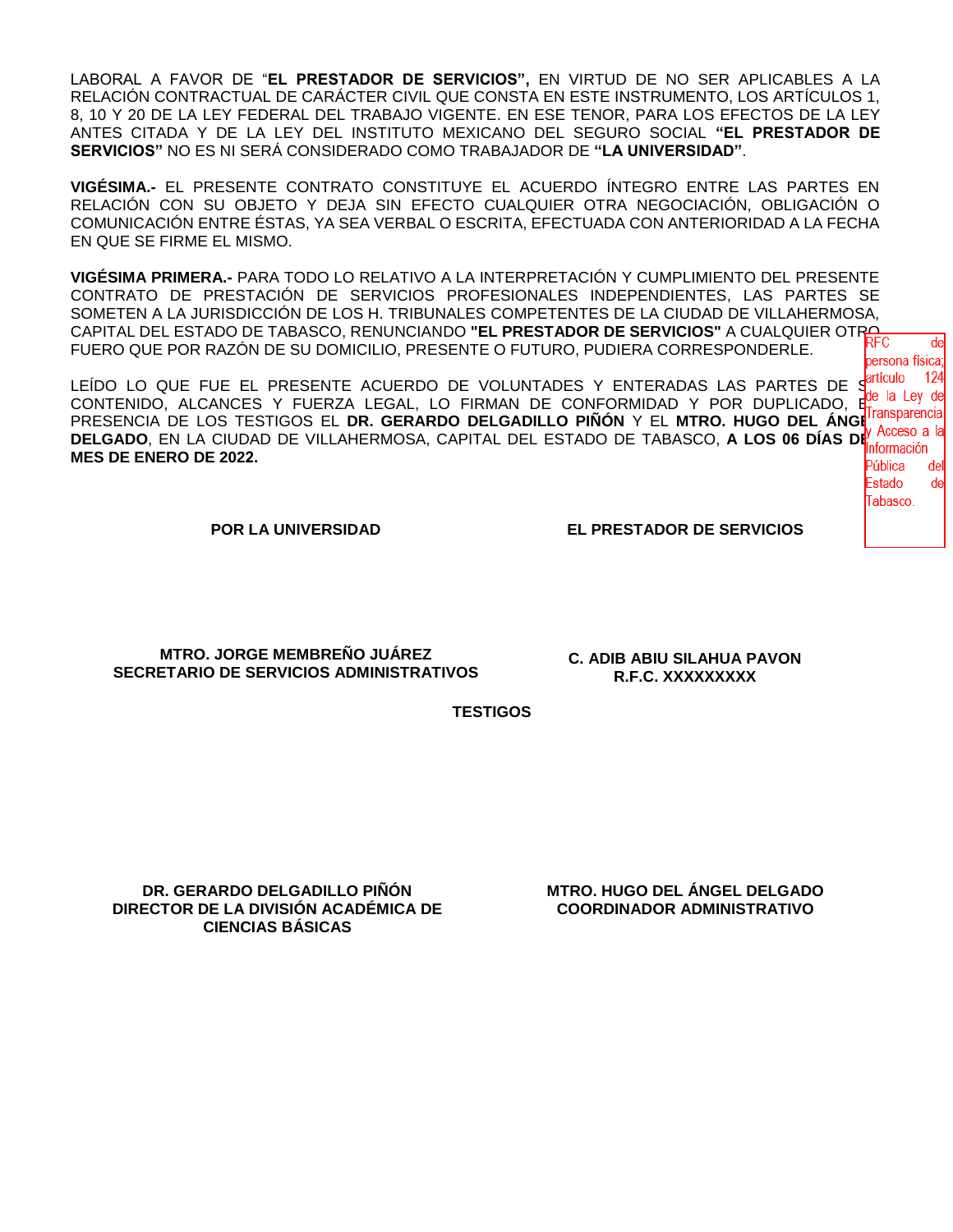LABORAL A FAVOR DE "**EL PRESTADOR DE SERVICIOS",** EN VIRTUD DE NO SER APLICABLES A LA RELACIÓN CONTRACTUAL DE CARÁCTER CIVIL QUE CONSTA EN ESTE INSTRUMENTO, LOS ARTÍCULOS 1, 8, 10 Y 20 DE LA LEY FEDERAL DEL TRABAJO VIGENTE. EN ESE TENOR, PARA LOS EFECTOS DE LA LEY ANTES CITADA Y DE LA LEY DEL INSTITUTO MEXICANO DEL SEGURO SOCIAL **"EL PRESTADOR DE SERVICIOS"** NO ES NI SERÁ CONSIDERADO COMO TRABAJADOR DE **"LA UNIVERSIDAD"**.

**VIGÉSIMA.-** EL PRESENTE CONTRATO CONSTITUYE EL ACUERDO ÍNTEGRO ENTRE LAS PARTES EN RELACIÓN CON SU OBJETO Y DEJA SIN EFECTO CUALQUIER OTRA NEGOCIACIÓN, OBLIGACIÓN O COMUNICACIÓN ENTRE ÉSTAS, YA SEA VERBAL O ESCRITA, EFECTUADA CON ANTERIORIDAD A LA FECHA EN QUE SE FIRME EL MISMO.

**VIGÉSIMA PRIMERA.-** PARA TODO LO RELATIVO A LA INTERPRETACIÓN Y CUMPLIMIENTO DEL PRESENTE CONTRATO DE PRESTACIÓN DE SERVICIOS PROFESIONALES INDEPENDIENTES, LAS PARTES SE SOMETEN A LA JURISDICCIÓN DE LOS H. TRIBUNALES COMPETENTES DE LA CIUDAD DE VILLAHERMOSA, CAPITAL DEL ESTADO DE TABASCO, RENUNCIANDO **"EL PRESTADOR DE SERVICIOS"** A CUALQUIER OTRO FUERO QUE POR RAZÓN DE SU DOMICILIO, PRESENTE O FUTURO, PUDIERA CORRESPONDERLE. persona física

LEÍDO LO QUE FUE EL PRESENTE ACUERDO DE VOLUNTADES Y ENTERADAS LAS PARTES DE S<sup>artículo</sup> 124 CONTENIDO, ALCANCES Y FUERZA LEGAL, LO FIRMAN DE CONFORMIDAD Y POR DUPLICADO, E<sup>NE IA LEY OR</sup> PRESENCIA DE LOS TESTIGOS EL **DR. GERARDO DELGADILLO PIÑÓN** Y EL **MTRO. HUGO DEL ÁNGE<sup>LTARSPATERCIA**</sup> **DELGADO**, EN LA CIUDAD DE VILLAHERMOSA, CAPITAL DEL ESTADO DE TABASCO, **A LOS 06 DÍAS DE** Información **MES DE ENERO DE 2022.** Pública

**POR LA UNIVERSIDAD EL PRESTADOR DE SERVICIOS**

 $\overline{d}$ 

124

de

de

Estado

Tabasco.

**MTRO. JORGE MEMBREÑO JUÁREZ SECRETARIO DE SERVICIOS ADMINISTRATIVOS**

**C. ADIB ABIU SILAHUA PAVON R.F.C. XXXXXXXXX**

**TESTIGOS**

**DR. GERARDO DELGADILLO PIÑÓN DIRECTOR DE LA DIVISIÓN ACADÉMICA DE CIENCIAS BÁSICAS**

**MTRO. HUGO DEL ÁNGEL DELGADO COORDINADOR ADMINISTRATIVO**